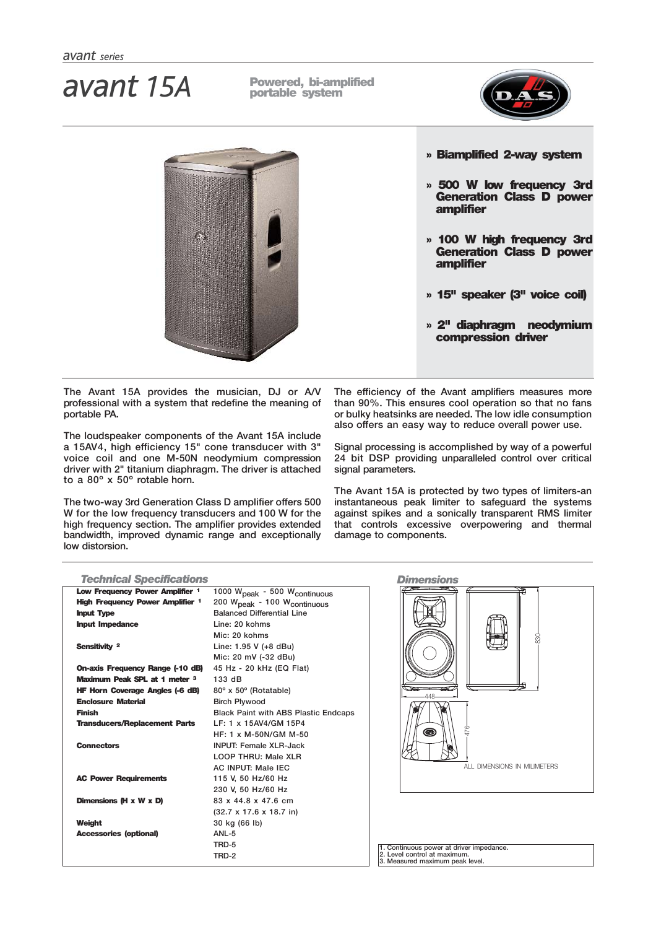# **Powered, bi-amplified** *avant 15A* **portable system**





**The Avant 15A provides the musician, DJ or A/V professional with a system that redefine the meaning of portable PA.**

**The loudspeaker components of the Avant 15A include a 15AV4, high efficiency 15" cone transducer with 3" voice coil and one M-50N neodymium compression driver with 2" titanium diaphragm. The driver is attached to a 80º x 50º rotable horn.**

**The two-way 3rd Generation Class D amplifier offers 500 W for the low frequency transducers and 100 W for the high frequency section. The amplifier provides extended bandwidth, improved dynamic range and exceptionally low distorsion.**

### **» Biamplified 2-way system**

- **» 500 W low frequency 3rd Generation Class D power amplifier**
- **» 100 W high frequency 3rd Generation Class D power amplifier**
- **» 15" speaker (3" voice coil)**
- **» 2" diaphragm neodymium compression driver**

**The efficiency of the Avant amplifiers measures more than 90%. This ensures cool operation so that no fans or bulky heatsinks are needed. The low idle consumption also offers an easy way to reduce overall power use.**

**Signal processing is accomplished by way of a powerful 24 bit DSP providing unparalleled control over critical signal parameters.**

**The Avant 15A is protected by two types of limiters-an instantaneous peak limiter to safeguard the systems against spikes and a sonically transparent RMS limiter that controls excessive overpowering and thermal damage to components.** 

| <b>Technical Specifications</b>         |                                                      | <b>Dimensions</b>                                               |
|-----------------------------------------|------------------------------------------------------|-----------------------------------------------------------------|
| Low Frequency Power Amplifier 1         | 1000 W <sub>peak</sub> - 500 W <sub>continuous</sub> |                                                                 |
| <b>High Frequency Power Amplifier 1</b> | 200 W <sub>peak</sub> - 100 W <sub>continuous</sub>  |                                                                 |
| <b>Input Type</b>                       | <b>Balanced Differential Line</b>                    |                                                                 |
| <b>Input Impedance</b>                  | Line: 20 kohms                                       |                                                                 |
|                                         | Mic: 20 kohms                                        | 83                                                              |
| Sensitivity 2                           | Line: 1.95 V (+8 dBu)                                |                                                                 |
|                                         | Mic: 20 mV (-32 dBu)                                 |                                                                 |
| On-axis Frequency Range (-10 dB)        | 45 Hz - 20 kHz (EQ Flat)                             |                                                                 |
| Maximum Peak SPL at 1 meter 3           | 133 dB                                               |                                                                 |
| <b>HF Horn Coverage Angles (-6 dB)</b>  | 80° x 50° (Rotatable)                                |                                                                 |
| <b>Enclosure Material</b>               | <b>Birch Plywood</b>                                 |                                                                 |
| <b>Finish</b>                           | <b>Black Paint with ABS Plastic Endcaps</b>          |                                                                 |
| <b>Transducers/Replacement Parts</b>    | LF: 1 x 15AV4/GM 15P4                                |                                                                 |
|                                         | HF: 1 x M-50N/GM M-50                                | 476<br>◉                                                        |
| <b>Connectors</b>                       | <b>INPUT: Female XLR-Jack</b>                        |                                                                 |
|                                         | LOOP THRU: Male XLR                                  |                                                                 |
|                                         | <b>AC INPUT: Male IEC</b>                            | ALL DIMENSIONS IN MILIMETERS                                    |
| <b>AC Power Requirements</b>            | 115 V, 50 Hz/60 Hz                                   |                                                                 |
|                                         | 230 V. 50 Hz/60 Hz                                   |                                                                 |
| Dimensions (H x W x D)                  | 83 x 44.8 x 47.6 cm                                  |                                                                 |
|                                         | $(32.7 \times 17.6 \times 18.7)$ in)                 |                                                                 |
| Weight                                  | 30 kg (66 lb)                                        |                                                                 |
| <b>Accessories (optional)</b>           | ANL-5                                                |                                                                 |
|                                         | TRD-5                                                | 1. Continuous power at driver impedance.                        |
|                                         | TRD-2                                                | 2. Level control at maximum.<br>3. Measured maximum peak level. |
|                                         |                                                      |                                                                 |